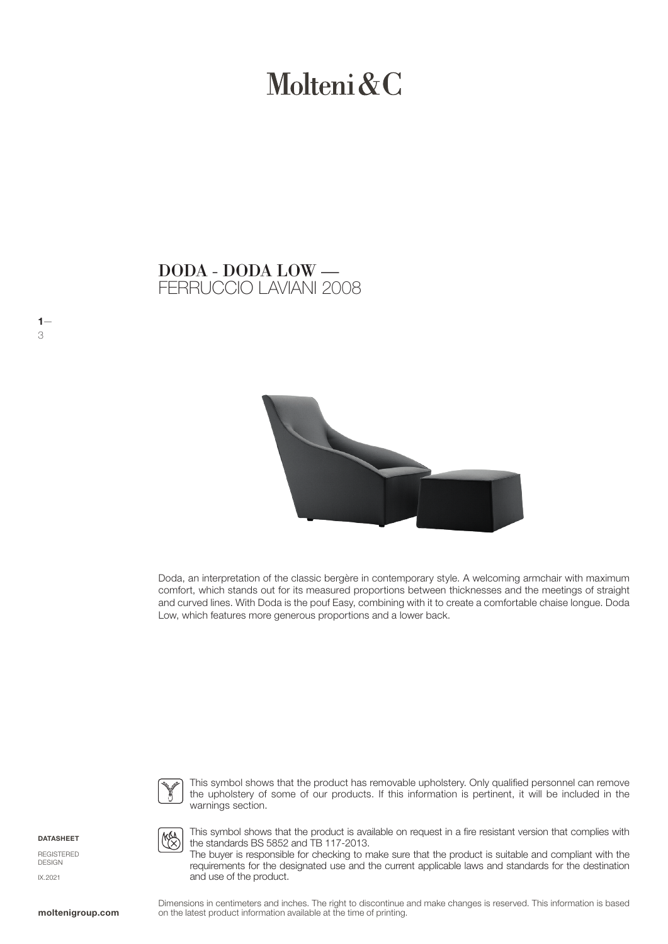# Molteni & C

### FERRUCCIO LAVIANI 2008 DODA - DODA LOW —



Doda, an interpretation of the classic bergère in contemporary style. A welcoming armchair with maximum comfort, which stands out for its measured proportions between thicknesses and the meetings of straight and curved lines. With Doda is the pouf Easy, combining with it to create a comfortable chaise longue. Doda Low, which features more generous proportions and a lower back.



This symbol shows that the product has removable upholstery. Only qualified personnel can remove the upholstery of some of our products. If this information is pertinent, it will be included in the warnings section.

**DATASHEET** 

 $1-$ 

3

REGISTERED DESIGN IX.2021



This symbol shows that the product is available on request in a fire resistant version that complies with the standards BS 5852 and TB 117-2013.

The buyer is responsible for checking to make sure that the product is suitable and compliant with the requirements for the designated use and the current applicable laws and standards for the destination and use of the product.

Dimensions in centimeters and inches. The right to discontinue and make changes is reserved. This information is based **moltenigroup.com** on the latest product information available at the time of printing.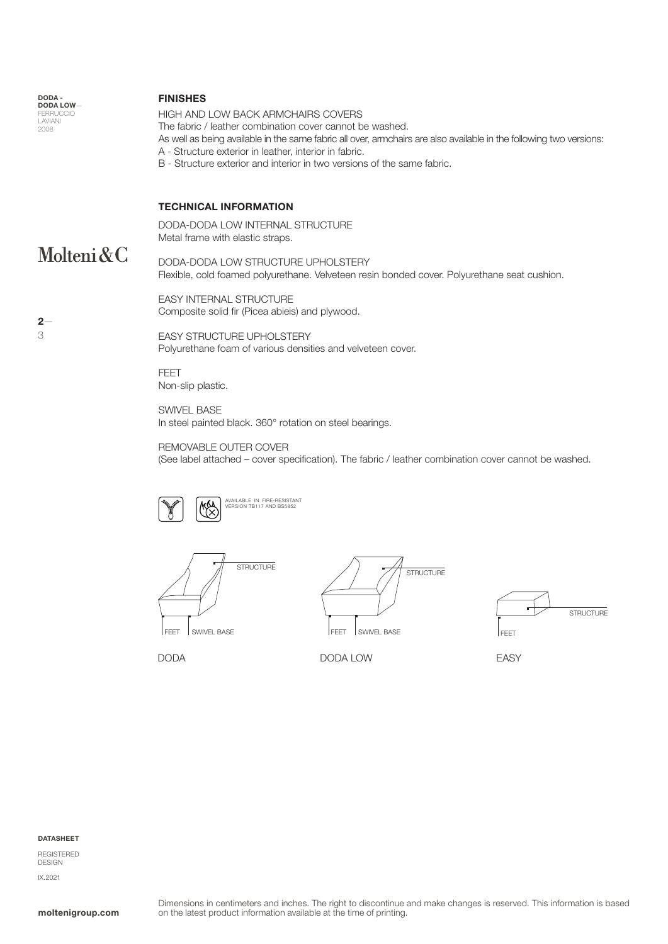| DODA -<br><b>DODA LOW-</b><br><b>FERRUCCIO</b><br>LAVIANI<br>2008 | <b>FINISHES</b><br>HIGH AND LOW BACK ARMCHAIRS COVERS<br>The fabric / leather combination cover cannot be washed.<br>As well as being available in the same fabric all over, armchairs are also available in the following two versions:<br>A - Structure exterior in leather, interior in fabric.<br>B - Structure exterior and interior in two versions of the same fabric. |  |  |  |  |  |
|-------------------------------------------------------------------|-------------------------------------------------------------------------------------------------------------------------------------------------------------------------------------------------------------------------------------------------------------------------------------------------------------------------------------------------------------------------------|--|--|--|--|--|
| Molteni & C                                                       | <b>TECHNICAL INFORMATION</b><br>DODA-DODA LOW INTERNAL STRUCTURE                                                                                                                                                                                                                                                                                                              |  |  |  |  |  |
|                                                                   | Metal frame with elastic straps.<br>DODA-DODA LOW STRUCTURE UPHOLSTERY<br>Flexible, cold foamed polyurethane. Velveteen resin bonded cover. Polyurethane seat cushion.                                                                                                                                                                                                        |  |  |  |  |  |
| $2-$                                                              | <b>EASY INTERNAL STRUCTURE</b><br>Composite solid fir (Picea abiels) and plywood.                                                                                                                                                                                                                                                                                             |  |  |  |  |  |
| 3                                                                 | <b>EASY STRUCTURE UPHOLSTERY</b><br>Polyurethane foam of various densities and velveteen cover.                                                                                                                                                                                                                                                                               |  |  |  |  |  |

FEET Non-slip plastic.

SWIVEL BASE In steel painted black. 360° rotation on steel bearings.

REMOVABLE OUTER COVER (See label attached – cover specification). The fabric / leather combination cover cannot be washed.









DODA DODA LOW EASY

### DATASHEET

REGISTERED DESIGN IX.2021

2— 3